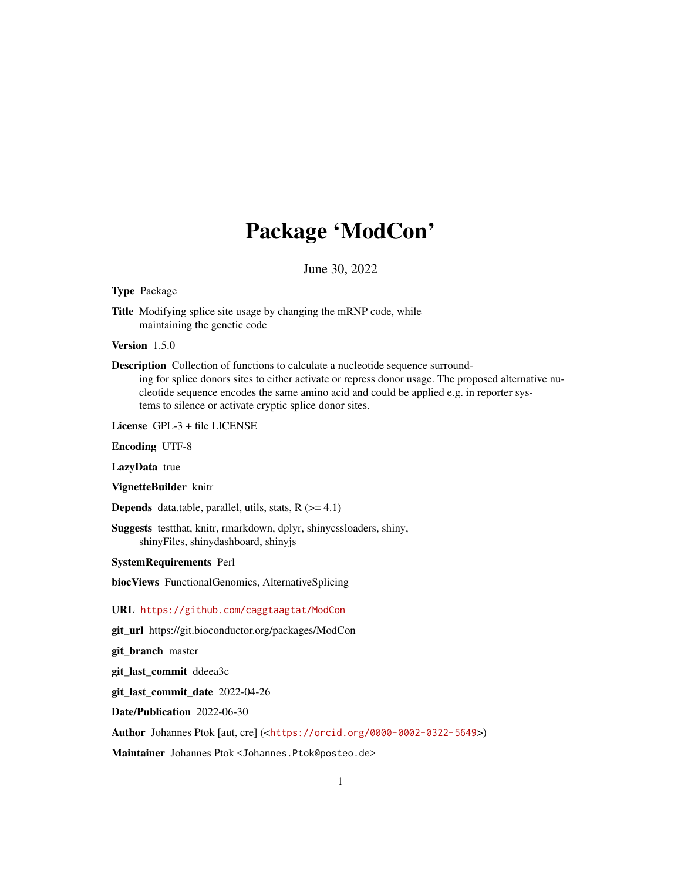# Package 'ModCon'

June 30, 2022

#### Type Package

Title Modifying splice site usage by changing the mRNP code, while maintaining the genetic code

Version 1.5.0

Description Collection of functions to calculate a nucleotide sequence surrounding for splice donors sites to either activate or repress donor usage. The proposed alternative nu-

cleotide sequence encodes the same amino acid and could be applied e.g. in reporter systems to silence or activate cryptic splice donor sites.

License GPL-3 + file LICENSE

Encoding UTF-8

LazyData true

VignetteBuilder knitr

**Depends** data.table, parallel, utils, stats,  $R$  ( $>= 4.1$ )

Suggests testthat, knitr, rmarkdown, dplyr, shinycssloaders, shiny, shinyFiles, shinydashboard, shinyjs

SystemRequirements Perl

biocViews FunctionalGenomics, AlternativeSplicing

URL <https://github.com/caggtaagtat/ModCon>

git\_url https://git.bioconductor.org/packages/ModCon

git\_branch master

git\_last\_commit ddeea3c

git\_last\_commit\_date 2022-04-26

Date/Publication 2022-06-30

Author Johannes Ptok [aut, cre] (<<https://orcid.org/0000-0002-0322-5649>>)

Maintainer Johannes Ptok <Johannes.Ptok@posteo.de>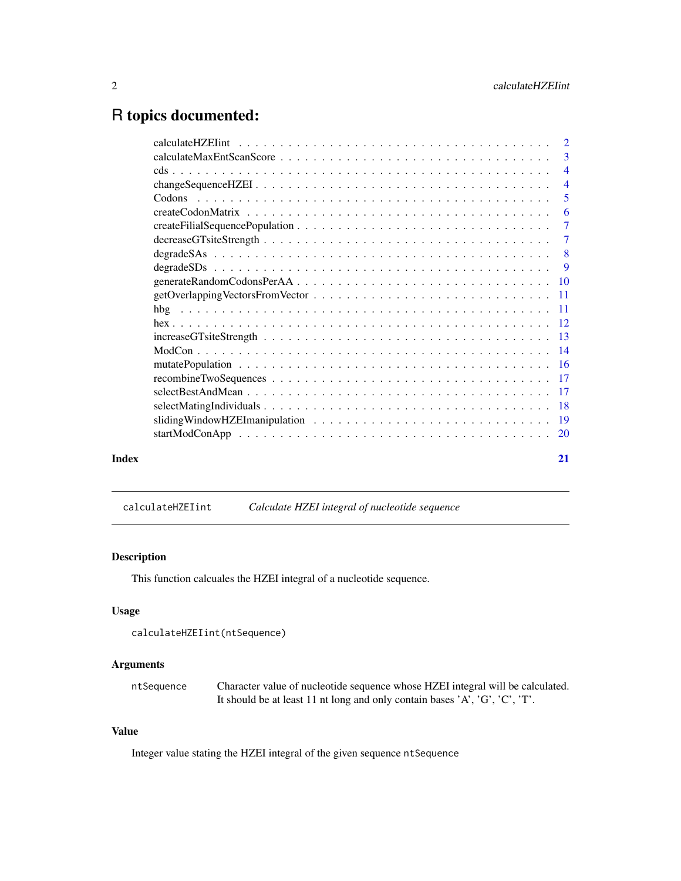# <span id="page-1-0"></span>R topics documented:

|       | -3 |
|-------|----|
|       |    |
|       |    |
|       |    |
|       |    |
|       |    |
|       |    |
|       |    |
|       |    |
|       |    |
|       |    |
|       |    |
|       |    |
|       |    |
|       |    |
|       |    |
|       |    |
|       |    |
|       |    |
|       |    |
|       |    |
| Index | 21 |

calculateHZEIint *Calculate HZEI integral of nucleotide sequence*

# Description

This function calcuales the HZEI integral of a nucleotide sequence.

# Usage

```
calculateHZEIint(ntSequence)
```
# Arguments

ntSequence Character value of nucleotide sequence whose HZEI integral will be calculated. It should be at least 11 nt long and only contain bases 'A', 'G', 'C', 'T'.

# Value

Integer value stating the HZEI integral of the given sequence ntSequence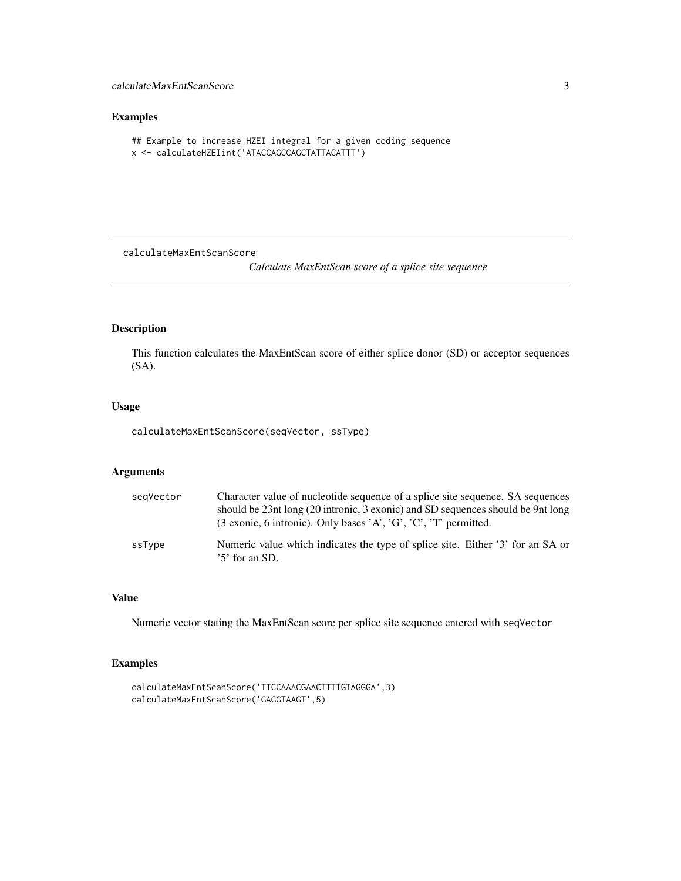# <span id="page-2-0"></span>calculateMaxEntScanScore 3

# Examples

```
## Example to increase HZEI integral for a given coding sequence
x <- calculateHZEIint('ATACCAGCCAGCTATTACATTT')
```
calculateMaxEntScanScore

*Calculate MaxEntScan score of a splice site sequence*

# Description

This function calculates the MaxEntScan score of either splice donor (SD) or acceptor sequences (SA).

# Usage

calculateMaxEntScanScore(seqVector, ssType)

# Arguments

| seqVector | Character value of nucleotide sequence of a splice site sequence. SA sequences<br>should be 23nt long (20 intronic, 3 exonic) and SD sequences should be 9nt long<br>(3 exonic, 6 intronic). Only bases 'A', 'G', 'C', 'T' permitted. |
|-----------|---------------------------------------------------------------------------------------------------------------------------------------------------------------------------------------------------------------------------------------|
| ssType    | Numeric value which indicates the type of splice site. Either '3' for an SA or<br>$\frac{1}{5}$ for an SD.                                                                                                                            |

# Value

Numeric vector stating the MaxEntScan score per splice site sequence entered with seqVector

# Examples

```
calculateMaxEntScanScore('TTCCAAACGAACTTTTGTAGGGA',3)
calculateMaxEntScanScore('GAGGTAAGT',5)
```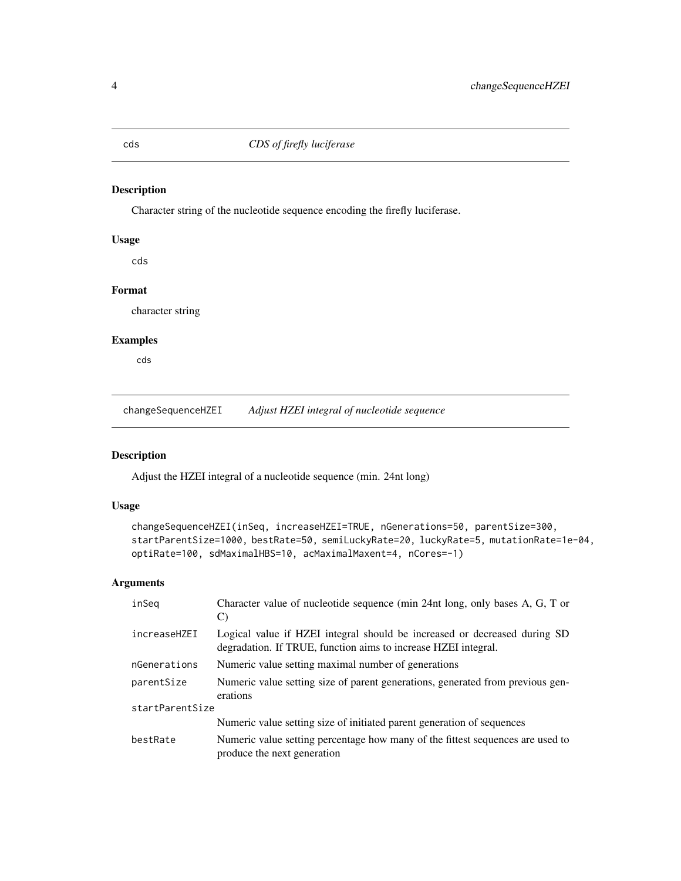<span id="page-3-0"></span>cds *CDS of firefly luciferase*

# Description

Character string of the nucleotide sequence encoding the firefly luciferase.

# Usage

cds

# Format

character string

# Examples

cds

changeSequenceHZEI *Adjust HZEI integral of nucleotide sequence*

# Description

Adjust the HZEI integral of a nucleotide sequence (min. 24nt long)

# Usage

```
changeSequenceHZEI(inSeq, increaseHZEI=TRUE, nGenerations=50, parentSize=300,
startParentSize=1000, bestRate=50, semiLuckyRate=20, luckyRate=5, mutationRate=1e-04,
optiRate=100, sdMaximalHBS=10, acMaximalMaxent=4, nCores=-1)
```
# Arguments

| inSeq           | Character value of nucleotide sequence (min 24nt long, only bases A, G, T or                                                                |
|-----------------|---------------------------------------------------------------------------------------------------------------------------------------------|
| increaseHZEI    | Logical value if HZEI integral should be increased or decreased during SD<br>degradation. If TRUE, function aims to increase HZEI integral. |
| nGenerations    | Numeric value setting maximal number of generations                                                                                         |
| parentSize      | Numeric value setting size of parent generations, generated from previous gen-<br>erations                                                  |
| startParentSize |                                                                                                                                             |
|                 | Numeric value setting size of initiated parent generation of sequences                                                                      |
| bestRate        | Numeric value setting percentage how many of the fittest sequences are used to<br>produce the next generation                               |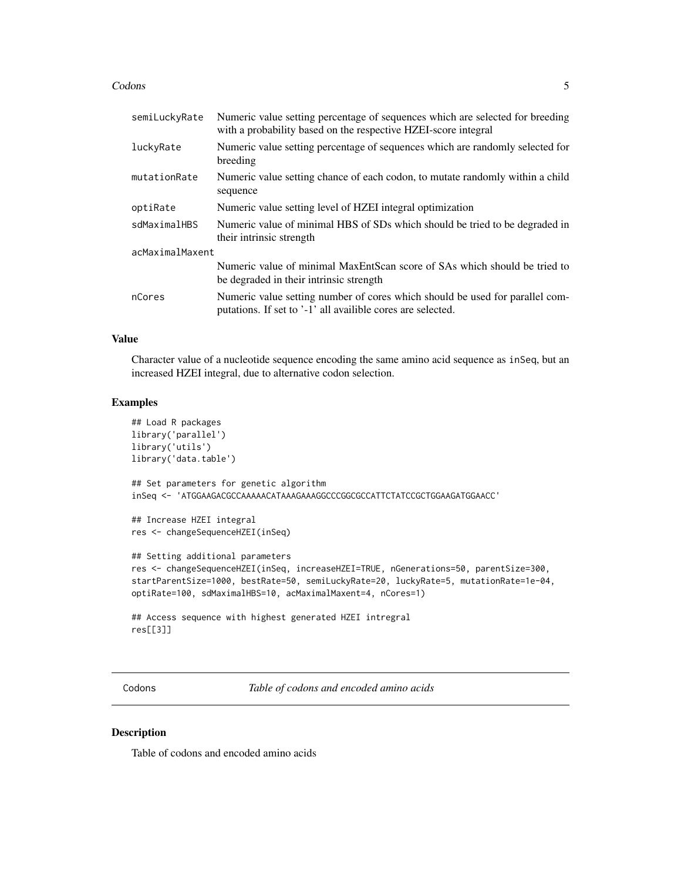#### <span id="page-4-0"></span>Codons 5

| semiLuckyRate   | Numeric value setting percentage of sequences which are selected for breeding<br>with a probability based on the respective HZEI-score integral |
|-----------------|-------------------------------------------------------------------------------------------------------------------------------------------------|
| luckyRate       | Numeric value setting percentage of sequences which are randomly selected for<br>breeding                                                       |
| mutationRate    | Numeric value setting chance of each codon, to mutate randomly within a child<br>sequence                                                       |
| optiRate        | Numeric value setting level of HZEI integral optimization                                                                                       |
| sdMaximalHBS    | Numeric value of minimal HBS of SDs which should be tried to be degraded in<br>their intrinsic strength                                         |
| acMaximalMaxent |                                                                                                                                                 |
|                 | Numeric value of minimal MaxEntScan score of SAs which should be tried to<br>be degraded in their intrinsic strength                            |
| nCores          | Numeric value setting number of cores which should be used for parallel com-<br>putations. If set to '-1' all availible cores are selected.     |

# Value

Character value of a nucleotide sequence encoding the same amino acid sequence as inSeq, but an increased HZEI integral, due to alternative codon selection.

# Examples

```
## Load R packages
library('parallel')
library('utils')
library('data.table')
## Set parameters for genetic algorithm
inSeq <- 'ATGGAAGACGCCAAAAACATAAAGAAAGGCCCGGCGCCATTCTATCCGCTGGAAGATGGAACC'
## Increase HZEI integral
res <- changeSequenceHZEI(inSeq)
## Setting additional parameters
res <- changeSequenceHZEI(inSeq, increaseHZEI=TRUE, nGenerations=50, parentSize=300,
startParentSize=1000, bestRate=50, semiLuckyRate=20, luckyRate=5, mutationRate=1e-04,
optiRate=100, sdMaximalHBS=10, acMaximalMaxent=4, nCores=1)
## Access sequence with highest generated HZEI intregral
res[[3]]
```
Codons *Table of codons and encoded amino acids*

# Description

Table of codons and encoded amino acids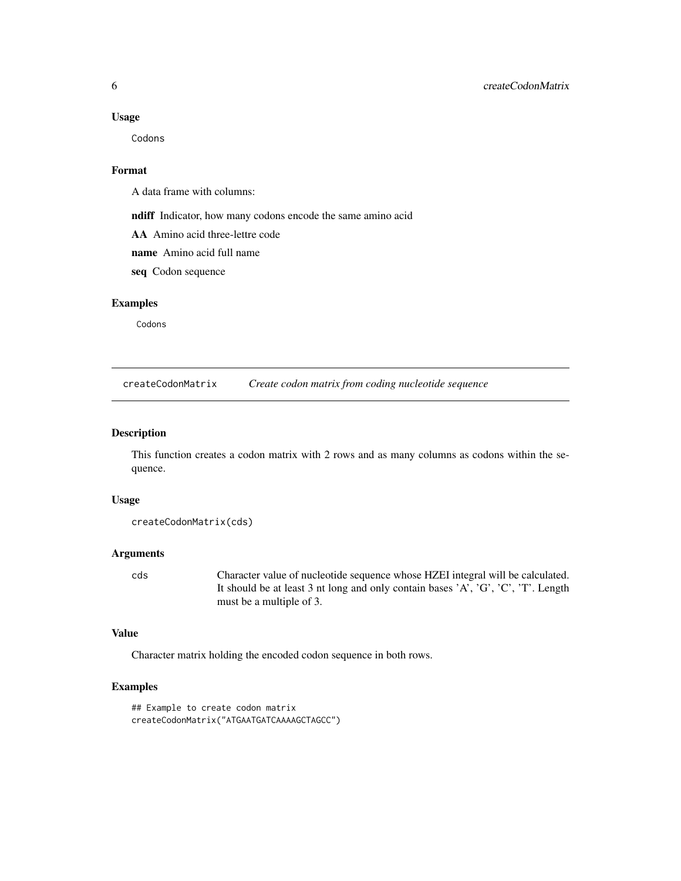<span id="page-5-0"></span>Codons

#### Format

A data frame with columns:

ndiff Indicator, how many codons encode the same amino acid

AA Amino acid three-lettre code

name Amino acid full name

seq Codon sequence

# Examples

Codons

createCodonMatrix *Create codon matrix from coding nucleotide sequence*

# Description

This function creates a codon matrix with 2 rows and as many columns as codons within the sequence.

#### Usage

```
createCodonMatrix(cds)
```
# Arguments

cds Character value of nucleotide sequence whose HZEI integral will be calculated. It should be at least 3 nt long and only contain bases 'A', 'G', 'C', 'T'. Length must be a multiple of 3.

# Value

Character matrix holding the encoded codon sequence in both rows.

# Examples

```
## Example to create codon matrix
createCodonMatrix("ATGAATGATCAAAAGCTAGCC")
```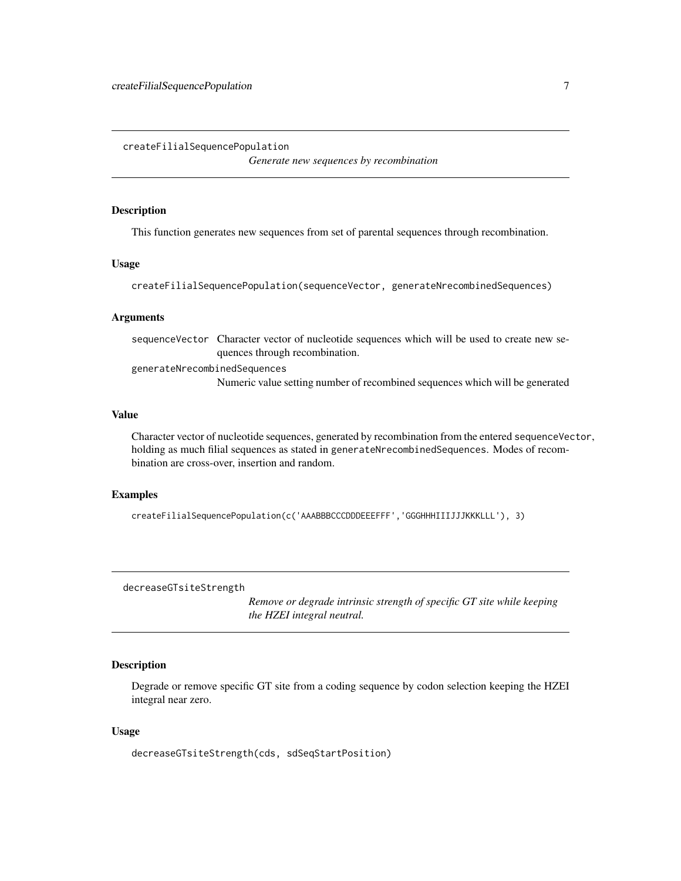<span id="page-6-0"></span>createFilialSequencePopulation

*Generate new sequences by recombination*

# Description

This function generates new sequences from set of parental sequences through recombination.

#### Usage

```
createFilialSequencePopulation(sequenceVector, generateNrecombinedSequences)
```
# Arguments

sequenceVector Character vector of nucleotide sequences which will be used to create new sequences through recombination. generateNrecombinedSequences Numeric value setting number of recombined sequences which will be generated

#### Value

Character vector of nucleotide sequences, generated by recombination from the entered sequenceVector, holding as much filial sequences as stated in generateNrecombinedSequences. Modes of recombination are cross-over, insertion and random.

# Examples

```
createFilialSequencePopulation(c('AAABBBCCCDDDEEEFFF','GGGHHHIIIJJJKKKLLL'), 3)
```
decreaseGTsiteStrength

*Remove or degrade intrinsic strength of specific GT site while keeping the HZEI integral neutral.*

# Description

Degrade or remove specific GT site from a coding sequence by codon selection keeping the HZEI integral near zero.

# Usage

decreaseGTsiteStrength(cds, sdSeqStartPosition)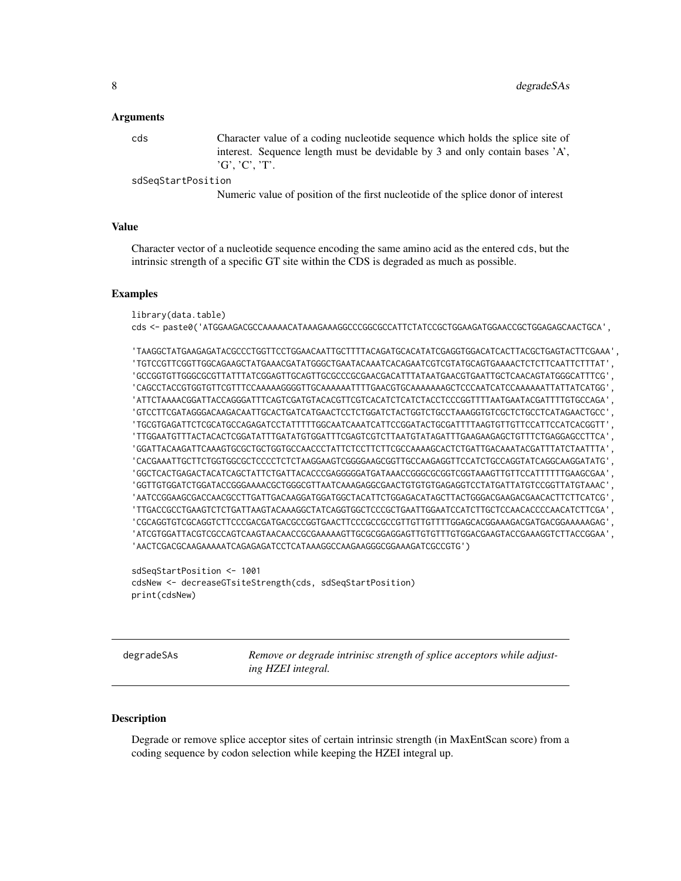#### <span id="page-7-0"></span>Arguments

cds Character value of a coding nucleotide sequence which holds the splice site of interest. Sequence length must be devidable by 3 and only contain bases 'A', 'G', 'C', 'T'.

# sdSeqStartPosition

Numeric value of position of the first nucleotide of the splice donor of interest

# Value

Character vector of a nucleotide sequence encoding the same amino acid as the entered cds, but the intrinsic strength of a specific GT site within the CDS is degraded as much as possible.

#### Examples

```
library(data.table)
cds <- paste0('ATGGAAGACGCCAAAAACATAAAGAAAGGCCCGGCGCCATTCTATCCGCTGGAAGATGGAACCGCTGGAGAGCAACTGCA',
```
'TAAGGCTATGAAGAGATACGCCCTGGTTCCTGGAACAATTGCTTTTACAGATGCACATATCGAGGTGGACATCACTTACGCTGAGTACTTCGAAA', 'TGTCCGTTCGGTTGGCAGAAGCTATGAAACGATATGGGCTGAATACAAATCACAGAATCGTCGTATGCAGTGAAAACTCTCTTCAATTCTTTAT', 'GCCGGTGTTGGGCGCGTTATTTATCGGAGTTGCAGTTGCGCCCGCGAACGACATTTATAATGAACGTGAATTGCTCAACAGTATGGGCATTTCG', 'CAGCCTACCGTGGTGTTCGTTTCCAAAAAGGGGTTGCAAAAAATTTTGAACGTGCAAAAAAAGCTCCCAATCATCCAAAAAATTATTATCATGG', 'ATTCTAAAACGGATTACCAGGGATTTCAGTCGATGTACACGTTCGTCACATCTCATCTACCTCCCGGTTTTAATGAATACGATTTTGTGCCAGA', 'GTCCTTCGATAGGGACAAGACAATTGCACTGATCATGAACTCCTCTGGATCTACTGGTCTGCCTAAAGGTGTCGCTCTGCCTCATAGAACTGCC', 'TGCGTGAGATTCTCGCATGCCAGAGATCCTATTTTTGGCAATCAAATCATTCCGGATACTGCGATTTTAAGTGTTGTTCCATTCCATCACGGTT', 'TTGGAATGTTTACTACACTCGGATATTTGATATGTGGATTTCGAGTCGTCTTAATGTATAGATTTGAAGAAGAGCTGTTTCTGAGGAGCCTTCA', 'GGATTACAAGATTCAAAGTGCGCTGCTGGTGCCAACCCTATTCTCCTTCTTCGCCAAAAGCACTCTGATTGACAAATACGATTTATCTAATTTA', 'CACGAAATTGCTTCTGGTGGCGCTCCCCTCTCTAAGGAAGTCGGGGAAGCGGTTGCCAAGAGGTTCCATCTGCCAGGTATCAGGCAAGGATATG', 'GGCTCACTGAGACTACATCAGCTATTCTGATTACACCCGAGGGGGATGATAAACCGGGCGCGGTCGGTAAAGTTGTTCCATTTTTTGAAGCGAA', 'GGTTGTGGATCTGGATACCGGGAAAACGCTGGGCGTTAATCAAAGAGGCGAACTGTGTGTGAGAGGTCCTATGATTATGTCCGGTTATGTAAAC', 'AATCCGGAAGCGACCAACGCCTTGATTGACAAGGATGGATGGCTACATTCTGGAGACATAGCTTACTGGGACGAAGACGAACACTTCTTCATCG', 'TTGACCGCCTGAAGTCTCTGATTAAGTACAAAGGCTATCAGGTGGCTCCCGCTGAATTGGAATCCATCTTGCTCCAACACCCCAACATCTTCGA', 'CGCAGGTGTCGCAGGTCTTCCCGACGATGACGCCGGTGAACTTCCCGCCGCCGTTGTTGTTTTGGAGCACGGAAAGACGATGACGGAAAAAGAG', 'ATCGTGGATTACGTCGCCAGTCAAGTAACAACCGCGAAAAAGTTGCGCGGAGGAGTTGTGTTTGTGGACGAAGTACCGAAAGGTCTTACCGGAA', 'AACTCGACGCAAGAAAAATCAGAGAGATCCTCATAAAGGCCAAGAAGGGCGGAAAGATCGCCGTG')

```
sdSeqStartPosition <- 1001
cdsNew <- decreaseGTsiteStrength(cds, sdSeqStartPosition)
print(cdsNew)
```
degradeSAs *Remove or degrade intrinisc strength of splice acceptors while adjusting HZEI integral.*

# **Description**

Degrade or remove splice acceptor sites of certain intrinsic strength (in MaxEntScan score) from a coding sequence by codon selection while keeping the HZEI integral up.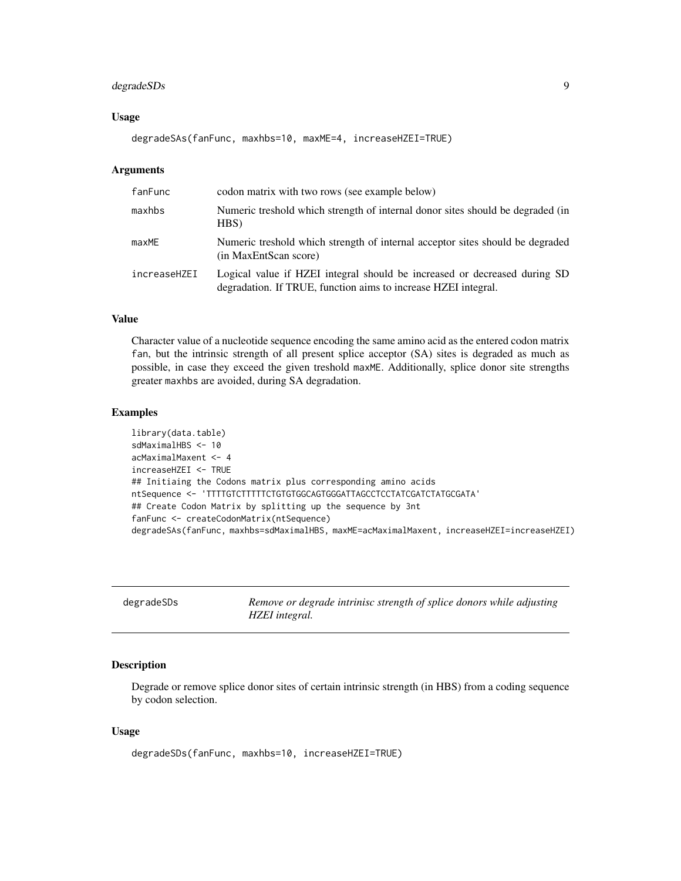# <span id="page-8-0"></span>degradeSDs 9

### Usage

degradeSAs(fanFunc, maxhbs=10, maxME=4, increaseHZEI=TRUE)

# Arguments

| fanFunc      | codon matrix with two rows (see example below)                                                                                              |
|--------------|---------------------------------------------------------------------------------------------------------------------------------------------|
| maxhbs       | Numeric treshold which strength of internal donor sites should be degraded (in<br>HBS)                                                      |
| maxME        | Numeric treshold which strength of internal acceptor sites should be degraded<br>(in MaxEntScan score)                                      |
| increaseHZEI | Logical value if HZEI integral should be increased or decreased during SD<br>degradation. If TRUE, function aims to increase HZEI integral. |

# Value

Character value of a nucleotide sequence encoding the same amino acid as the entered codon matrix fan, but the intrinsic strength of all present splice acceptor (SA) sites is degraded as much as possible, in case they exceed the given treshold maxME. Additionally, splice donor site strengths greater maxhbs are avoided, during SA degradation.

#### Examples

```
library(data.table)
sdMaximalHBS <- 10
acMaximalMaxent <- 4
increaseHZEI <- TRUE
## Initiaing the Codons matrix plus corresponding amino acids
ntSequence <- 'TTTTGTCTTTTTCTGTGTGGCAGTGGGATTAGCCTCCTATCGATCTATGCGATA'
## Create Codon Matrix by splitting up the sequence by 3nt
fanFunc <- createCodonMatrix(ntSequence)
degradeSAs(fanFunc, maxhbs=sdMaximalHBS, maxME=acMaximalMaxent, increaseHZEI=increaseHZEI)
```

| degradeSDs |  |
|------------|--|
|------------|--|

Remove or degrade intrinisc strength of splice donors while adjusting *HZEI integral.*

# Description

Degrade or remove splice donor sites of certain intrinsic strength (in HBS) from a coding sequence by codon selection.

# Usage

```
degradeSDs(fanFunc, maxhbs=10, increaseHZEI=TRUE)
```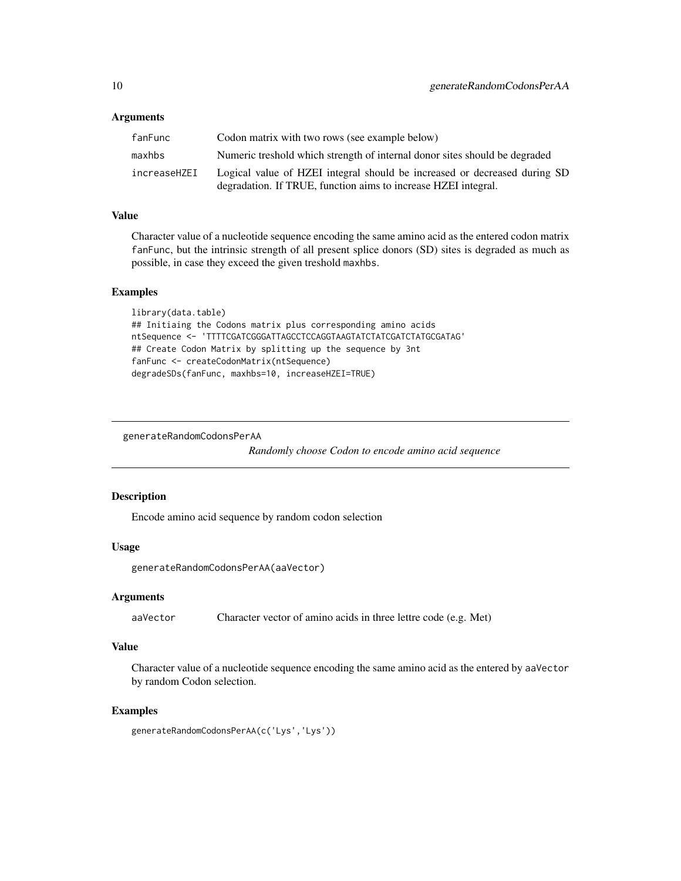# <span id="page-9-0"></span>**Arguments**

| fanFunc      | Codon matrix with two rows (see example below)                             |
|--------------|----------------------------------------------------------------------------|
| maxhbs       | Numeric treshold which strength of internal donor sites should be degraded |
| increaseHZEI | Logical value of HZEI integral should be increased or decreased during SD  |
|              | degradation. If TRUE, function aims to increase HZEI integral.             |

# Value

Character value of a nucleotide sequence encoding the same amino acid as the entered codon matrix fanFunc, but the intrinsic strength of all present splice donors (SD) sites is degraded as much as possible, in case they exceed the given treshold maxhbs.

# Examples

```
library(data.table)
## Initiaing the Codons matrix plus corresponding amino acids
ntSequence <- 'TTTTCGATCGGGATTAGCCTCCAGGTAAGTATCTATCGATCTATGCGATAG'
## Create Codon Matrix by splitting up the sequence by 3nt
fanFunc <- createCodonMatrix(ntSequence)
degradeSDs(fanFunc, maxhbs=10, increaseHZEI=TRUE)
```
generateRandomCodonsPerAA

*Randomly choose Codon to encode amino acid sequence*

## Description

Encode amino acid sequence by random codon selection

#### Usage

```
generateRandomCodonsPerAA(aaVector)
```
# Arguments

aaVector Character vector of amino acids in three lettre code (e.g. Met)

# Value

Character value of a nucleotide sequence encoding the same amino acid as the entered by aaVector by random Codon selection.

# Examples

```
generateRandomCodonsPerAA(c('Lys','Lys'))
```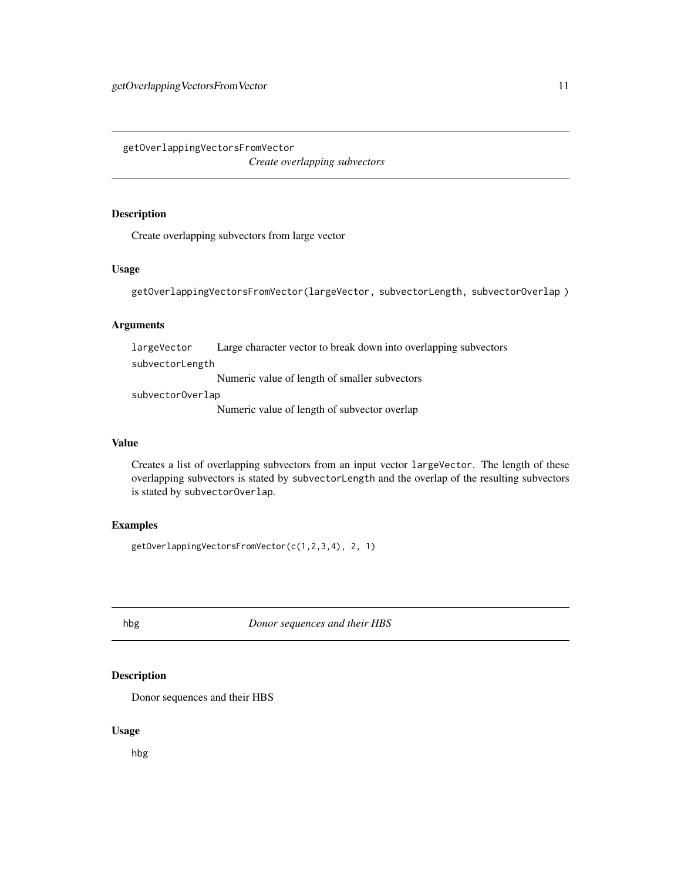<span id="page-10-0"></span>getOverlappingVectorsFromVector

*Create overlapping subvectors*

# Description

Create overlapping subvectors from large vector

# Usage

getOverlappingVectorsFromVector(largeVector, subvectorLength, subvectorOverlap )

# Arguments

largeVector Large character vector to break down into overlapping subvectors

subvectorLength

Numeric value of length of smaller subvectors

subvectorOverlap

Numeric value of length of subvector overlap

# Value

Creates a list of overlapping subvectors from an input vector largeVector. The length of these overlapping subvectors is stated by subvectorLength and the overlap of the resulting subvectors is stated by subvectorOverlap.

# Examples

getOverlappingVectorsFromVector(c(1,2,3,4), 2, 1)

hbg *Donor sequences and their HBS*

# Description

Donor sequences and their HBS

# Usage

hbg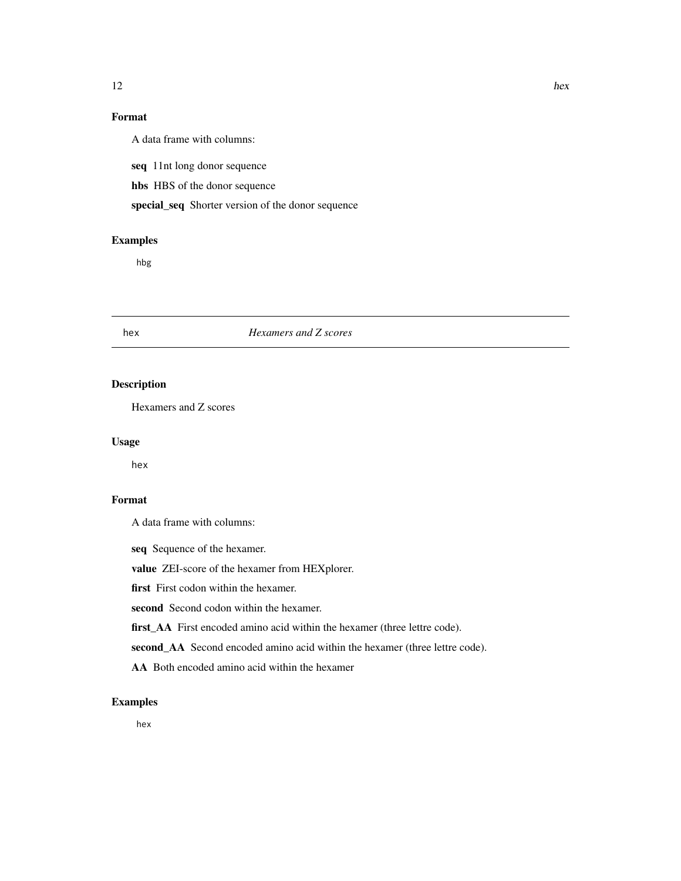# <span id="page-11-0"></span>Format

A data frame with columns:

seq 11nt long donor sequence

hbs HBS of the donor sequence

special\_seq Shorter version of the donor sequence

# Examples

hbg

# hex *Hexamers and Z scores*

# Description

Hexamers and Z scores

# Usage

hex

# Format

A data frame with columns:

seq Sequence of the hexamer.

value ZEI-score of the hexamer from HEXplorer.

first First codon within the hexamer.

second Second codon within the hexamer.

first\_AA First encoded amino acid within the hexamer (three lettre code).

second\_AA Second encoded amino acid within the hexamer (three lettre code).

AA Both encoded amino acid within the hexamer

# Examples

hex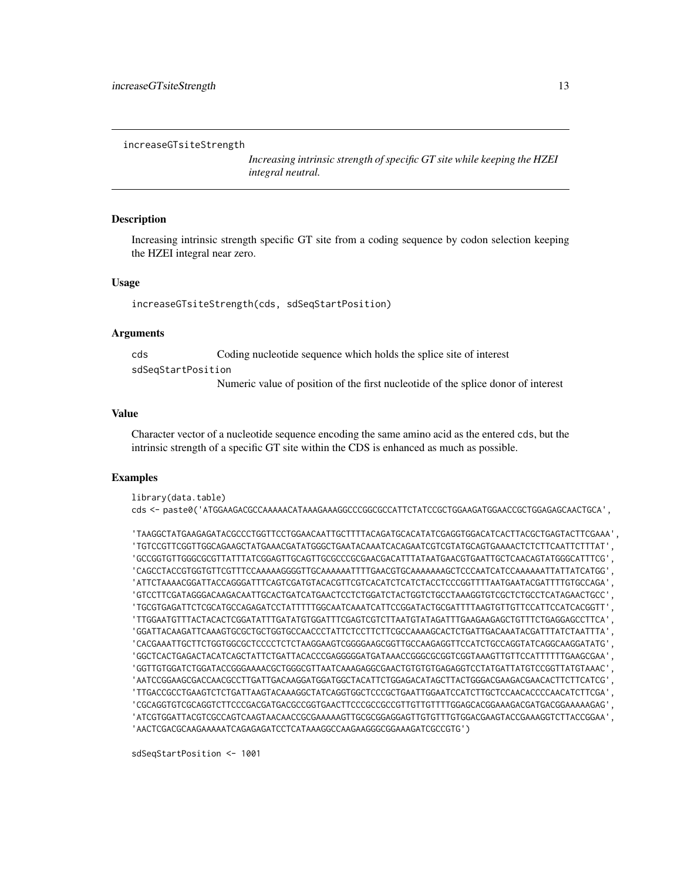<span id="page-12-0"></span>increaseGTsiteStrength

*Increasing intrinsic strength of specific GT site while keeping the HZEI integral neutral.*

# **Description**

Increasing intrinsic strength specific GT site from a coding sequence by codon selection keeping the HZEI integral near zero.

## Usage

increaseGTsiteStrength(cds, sdSeqStartPosition)

#### Arguments

cds Coding nucleotide sequence which holds the splice site of interest

sdSeqStartPosition

Numeric value of position of the first nucleotide of the splice donor of interest

#### Value

Character vector of a nucleotide sequence encoding the same amino acid as the entered cds, but the intrinsic strength of a specific GT site within the CDS is enhanced as much as possible.

#### Examples

library(data.table)

cds <- paste0('ATGGAAGACGCCAAAAACATAAAGAAAGGCCCGGCGCCATTCTATCCGCTGGAAGATGGAACCGCTGGAGAGCAACTGCA',

'TAAGGCTATGAAGAGATACGCCCTGGTTCCTGGAACAATTGCTTTTACAGATGCACATATCGAGGTGGACATCACTTACGCTGAGTACTTCGAAA', 'TGTCCGTTCGGTTGGCAGAAGCTATGAAACGATATGGGCTGAATACAAATCACAGAATCGTCGTATGCAGTGAAAACTCTCTTCAATTCTTTAT', 'GCCGGTGTTGGGCGCGTTATTTATCGGAGTTGCAGTTGCGCCCGCGAACGACATTTATAATGAACGTGAATTGCTCAACAGTATGGGCATTTCG', 'CAGCCTACCGTGGTGTTCGTTTCCAAAAAGGGGTTGCAAAAAATTTTGAACGTGCAAAAAAAGCTCCCAATCATCCAAAAAATTATTATCATGG', 'ATTCTAAAACGGATTACCAGGGATTTCAGTCGATGTACACGTTCGTCACATCTCATCTACCTCCCGGTTTTAATGAATACGATTTTGTGCCAGA', 'GTCCTTCGATAGGGACAAGACAATTGCACTGATCATGAACTCCTCTGGATCTACTGGTCTGCCTAAAGGTGTCGCTCTGCCTCATAGAACTGCC', 'TGCGTGAGATTCTCGCATGCCAGAGATCCTATTTTTGGCAATCAAATCATTCCGGATACTGCGATTTTAAGTGTTGTTCCATTCCATCACGGTT', 'TTGGAATGTTTACTACACTCGGATATTTGATATGTGGATTTCGAGTCGTCTTAATGTATAGATTTGAAGAAGAGCTGTTTCTGAGGAGCCTTCA', 'GGATTACAAGATTCAAAGTGCGCTGCTGGTGCCAACCCTATTCTCCTTCTTCGCCAAAAGCACTCTGATTGACAAATACGATTTATCTAATTTA', 'CACGAAATTGCTTCTGGTGGCGCTCCCCTCTCTAAGGAAGTCGGGGAAGCGGTTGCCAAGAGGTTCCATCTGCCAGGTATCAGGCAAGGATATG', 'GGCTCACTGAGACTACATCAGCTATTCTGATTACACCCGAGGGGGATGATAAACCGGGCGCGGTCGGTAAAGTTGTTCCATTTTTTGAAGCGAA', 'GGTTGTGGATCTGGATACCGGGAAAACGCTGGGCGTTAATCAAAGAGGCGAACTGTGTGTGAGAGGTCCTATGATTATGTCCGGTTATGTAAAC', 'AATCCGGAAGCGACCAACGCCTTGATTGACAAGGATGGATGGCTACATTCTGGAGACATAGCTTACTGGGACGAAGACGAACACTTCTTCATCG', 'TTGACCGCCTGAAGTCTCTGATTAAGTACAAAGGCTATCAGGTGGCTCCCGCTGAATTGGAATCCATCTTGCTCCAACACCCCAACATCTTCGA', 'CGCAGGTGTCGCAGGTCTTCCCGACGATGACGCCGGTGAACTTCCCGCCGCCGTTGTTGTTTTGGAGCACGGAAAGACGATGACGGAAAAAGAG', 'ATCGTGGATTACGTCGCCAGTCAAGTAACAACCGCGAAAAAGTTGCGCGGAGGAGTTGTGTTTGTGGACGAAGTACCGAAAGGTCTTACCGGAA', 'AACTCGACGCAAGAAAAATCAGAGAGATCCTCATAAAGGCCAAGAAGGGCGGAAAGATCGCCGTG')

sdSeqStartPosition <- 1001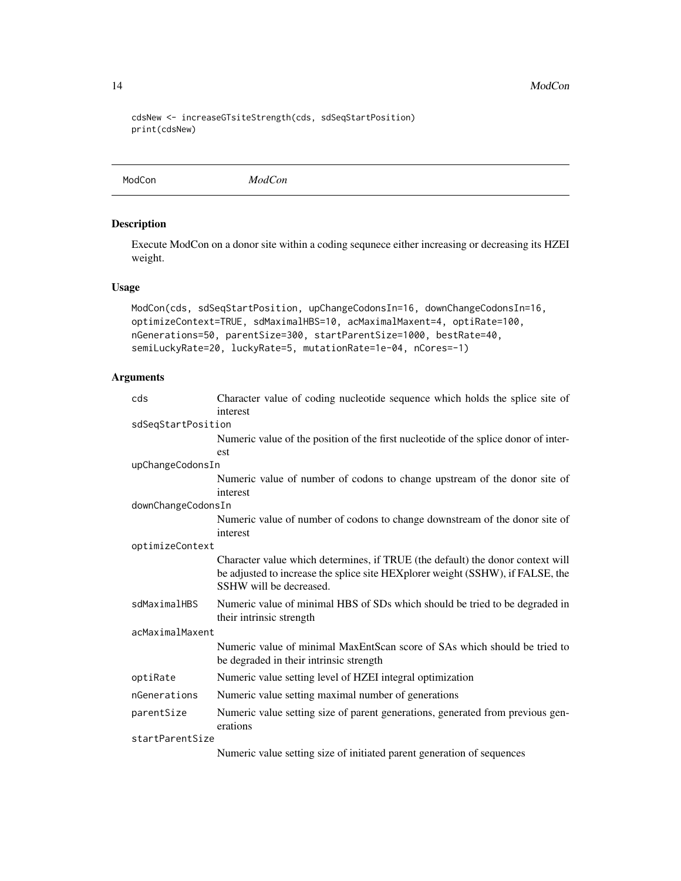cdsNew <- increaseGTsiteStrength(cds, sdSeqStartPosition) print(cdsNew)

ModCon *ModCon*

# Description

Execute ModCon on a donor site within a coding sequnece either increasing or decreasing its HZEI weight.

# Usage

```
ModCon(cds, sdSeqStartPosition, upChangeCodonsIn=16, downChangeCodonsIn=16,
optimizeContext=TRUE, sdMaximalHBS=10, acMaximalMaxent=4, optiRate=100,
nGenerations=50, parentSize=300, startParentSize=1000, bestRate=40,
semiLuckyRate=20, luckyRate=5, mutationRate=1e-04, nCores=-1)
```
# Arguments

| cds                | Character value of coding nucleotide sequence which holds the splice site of<br>interest |
|--------------------|------------------------------------------------------------------------------------------|
| sdSeqStartPosition |                                                                                          |
|                    | Numeric value of the position of the first nucleotide of the splice donor of inter-      |
|                    | est                                                                                      |
| upChangeCodonsIn   |                                                                                          |
|                    | Numeric value of number of codons to change upstream of the donor site of                |
|                    | interest                                                                                 |
| downChangeCodonsIn |                                                                                          |
|                    | Numeric value of number of codons to change downstream of the donor site of              |
|                    | interest                                                                                 |
| optimizeContext    |                                                                                          |
|                    | Character value which determines, if TRUE (the default) the donor context will           |
|                    | be adjusted to increase the splice site HEXplorer weight (SSHW), if FALSE, the           |
|                    | SSHW will be decreased.                                                                  |
| sdMaximalHBS       | Numeric value of minimal HBS of SDs which should be tried to be degraded in              |
|                    | their intrinsic strength                                                                 |
| acMaximalMaxent    |                                                                                          |
|                    | Numeric value of minimal MaxEntScan score of SAs which should be tried to                |
|                    | be degraded in their intrinsic strength                                                  |
| optiRate           | Numeric value setting level of HZEI integral optimization                                |
| nGenerations       | Numeric value setting maximal number of generations                                      |
| parentSize         | Numeric value setting size of parent generations, generated from previous gen-           |
|                    | erations                                                                                 |
| startParentSize    |                                                                                          |
|                    | Numeric value setting size of initiated parent generation of sequences                   |

<span id="page-13-0"></span>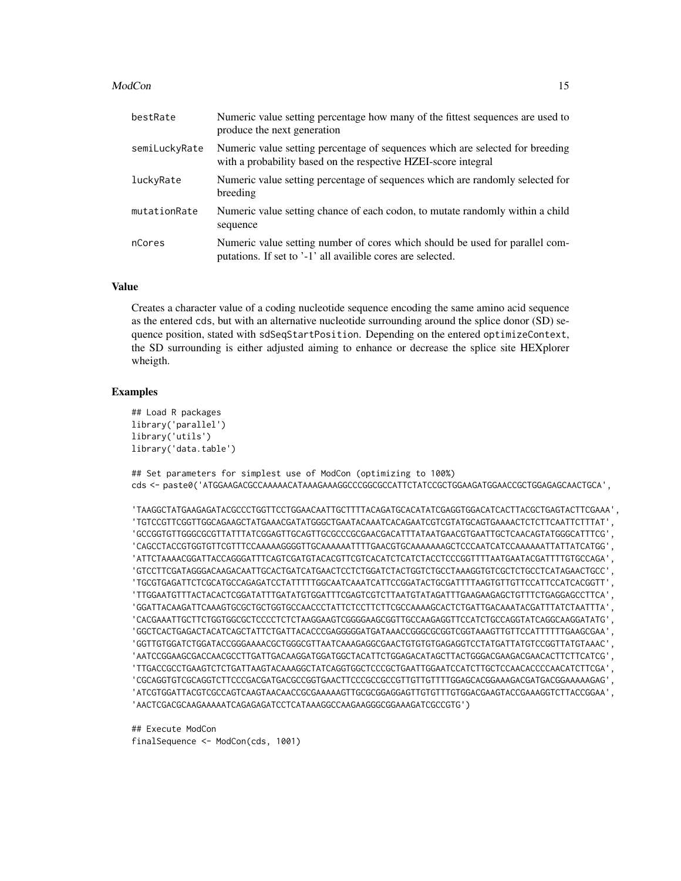#### ModCon 2.5 and 2.5 and 2.6 and 2.6 and 2.6 and 2.6 and 2.6 and 2.6 and 2.7 and 2.7 and 2.7 and 2.7 and 2.7 and 2.7 and 2.7 and 2.7 and 2.7 and 2.7 and 2.7 and 2.7 and 2.7 and 2.7 and 2.7 and 2.7 and 2.7 and 2.7 and 2.7 and

| bestRate      | Numeric value setting percentage how many of the fittest sequences are used to<br>produce the next generation                                   |
|---------------|-------------------------------------------------------------------------------------------------------------------------------------------------|
| semiLuckyRate | Numeric value setting percentage of sequences which are selected for breeding<br>with a probability based on the respective HZEI-score integral |
| luckyRate     | Numeric value setting percentage of sequences which are randomly selected for<br>breeding                                                       |
| mutationRate  | Numeric value setting chance of each codon, to mutate randomly within a child<br>sequence                                                       |
| nCores        | Numeric value setting number of cores which should be used for parallel com-<br>putations. If set to '-1' all availible cores are selected.     |

#### Value

Creates a character value of a coding nucleotide sequence encoding the same amino acid sequence as the entered cds, but with an alternative nucleotide surrounding around the splice donor (SD) sequence position, stated with sdSeqStartPosition. Depending on the entered optimizeContext, the SD surrounding is either adjusted aiming to enhance or decrease the splice site HEXplorer wheigth.

# Examples

```
## Load R packages
library('parallel')
library('utils')
library('data.table')
```
## Set parameters for simplest use of ModCon (optimizing to 100%) cds <- paste0('ATGGAAGACGCCAAAAACATAAAGAAAGGCCCGGCGCCATTCTATCCGCTGGAAGATGGAACCGCTGGAGAGCAACTGCA',

'TAAGGCTATGAAGAGATACGCCCTGGTTCCTGGAACAATTGCTTTTACAGATGCACATATCGAGGTGGACATCACTTACGCTGAGTACTTCGAAA', 'TGTCCGTTCGGTTGGCAGAAGCTATGAAACGATATGGGCTGAATACAAATCACAGAATCGTCGTATGCAGTGAAAACTCTCTTCAATTCTTTAT', 'GCCGGTGTTGGGCGCGTTATTTATCGGAGTTGCAGTTGCGCCCGCGAACGACATTTATAATGAACGTGAATTGCTCAACAGTATGGGCATTTCG', 'CAGCCTACCGTGGTGTTCGTTTCCAAAAAGGGGTTGCAAAAAATTTTGAACGTGCAAAAAAAGCTCCCAATCATCCAAAAAATTATTATCATGG', 'ATTCTAAAACGGATTACCAGGGATTTCAGTCGATGTACACGTTCGTCACATCTCATCTACCTCCCGGTTTTAATGAATACGATTTTGTGCCAGA', 'GTCCTTCGATAGGGACAAGACAATTGCACTGATCATGAACTCCTCTGGATCTACTGGTCTGCCTAAAGGTGTCGCTCTGCCTCATAGAACTGCC', 'TGCGTGAGATTCTCGCATGCCAGAGATCCTATTTTTGGCAATCAAATCATTCCGGATACTGCGATTTTAAGTGTTGTTCCATTCCATCACGGTT', 'TTGGAATGTTTACTACACTCGGATATTTGATATGTGGATTTCGAGTCGTCTTAATGTATAGATTTGAAGAAGAGCTGTTTCTGAGGAGCCTTCA', 'GGATTACAAGATTCAAAGTGCGCTGCTGGTGCCAACCCTATTCTCCTTCTTCGCCAAAAGCACTCTGATTGACAAATACGATTTATCTAATTTA', 'CACGAAATTGCTTCTGGTGGCGCTCCCCTCTCTAAGGAAGTCGGGGAAGCGGTTGCCAAGAGGTTCCATCTGCCAGGTATCAGGCAAGGATATG', 'GGCTCACTGAGACTACATCAGCTATTCTGATTACACCCGAGGGGGATGATAAACCGGGCGCGGTCGGTAAAGTTGTTCCATTTTTTGAAGCGAA', 'GGTTGTGGATCTGGATACCGGGAAAACGCTGGGCGTTAATCAAAGAGGCGAACTGTGTGTGAGAGGTCCTATGATTATGTCCGGTTATGTAAAC', 'AATCCGGAAGCGACCAACGCCTTGATTGACAAGGATGGATGGCTACATTCTGGAGACATAGCTTACTGGGACGAAGACGAACACTTCTTCATCG', 'TTGACCGCCTGAAGTCTCTGATTAAGTACAAAGGCTATCAGGTGGCTCCCGCTGAATTGGAATCCATCTTGCTCCAACACCCCAACATCTTCGA', 'CGCAGGTGTCGCAGGTCTTCCCGACGATGACGCCGGTGAACTTCCCGCCGCCGTTGTTGTTTTGGAGCACGGAAAGACGATGACGGAAAAAGAG', 'ATCGTGGATTACGTCGCCAGTCAAGTAACAACCGCGAAAAAGTTGCGCGGAGGAGTTGTGTTTGTGGACGAAGTACCGAAAGGTCTTACCGGAA', 'AACTCGACGCAAGAAAAATCAGAGAGATCCTCATAAAGGCCAAGAAGGGCGGAAAGATCGCCGTG')

## Execute ModCon finalSequence <- ModCon(cds, 1001)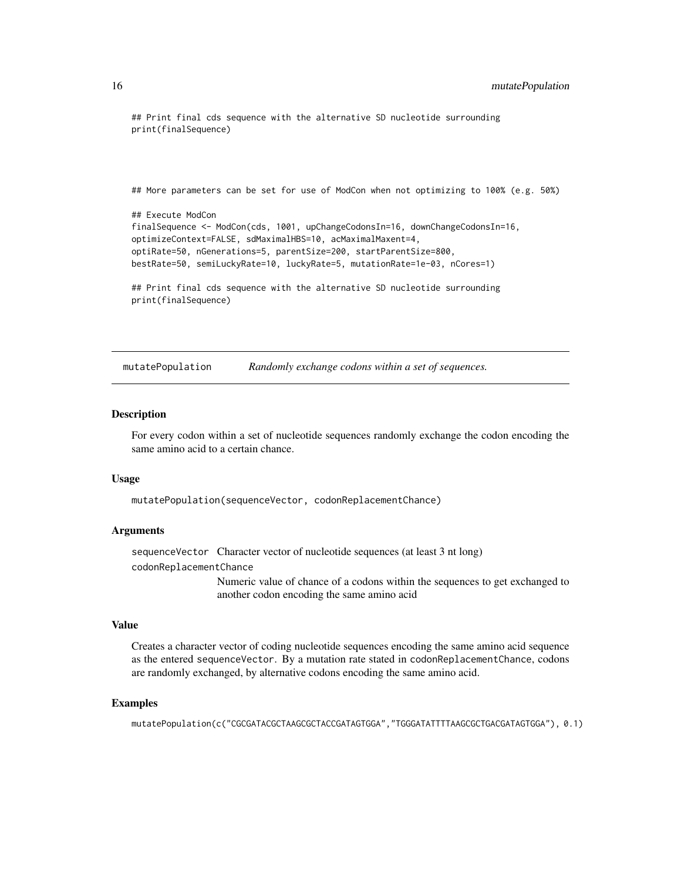<span id="page-15-0"></span>## Print final cds sequence with the alternative SD nucleotide surrounding print(finalSequence)

## More parameters can be set for use of ModCon when not optimizing to 100% (e.g. 50%)

```
## Execute ModCon
finalSequence <- ModCon(cds, 1001, upChangeCodonsIn=16, downChangeCodonsIn=16,
optimizeContext=FALSE, sdMaximalHBS=10, acMaximalMaxent=4,
optiRate=50, nGenerations=5, parentSize=200, startParentSize=800,
bestRate=50, semiLuckyRate=10, luckyRate=5, mutationRate=1e-03, nCores=1)
```
## Print final cds sequence with the alternative SD nucleotide surrounding print(finalSequence)

mutatePopulation *Randomly exchange codons within a set of sequences.*

#### Description

For every codon within a set of nucleotide sequences randomly exchange the codon encoding the same amino acid to a certain chance.

#### Usage

mutatePopulation(sequenceVector, codonReplacementChance)

#### Arguments

sequenceVector Character vector of nucleotide sequences (at least 3 nt long) codonReplacementChance Numeric value of chance of a codons within the sequences to get exchanged to

another codon encoding the same amino acid

#### Value

Creates a character vector of coding nucleotide sequences encoding the same amino acid sequence as the entered sequenceVector. By a mutation rate stated in codonReplacementChance, codons are randomly exchanged, by alternative codons encoding the same amino acid.

#### Examples

```
mutatePopulation(c("CGCGATACGCTAAGCGCTACCGATAGTGGA","TGGGATATTTTAAGCGCTGACGATAGTGGA"), 0.1)
```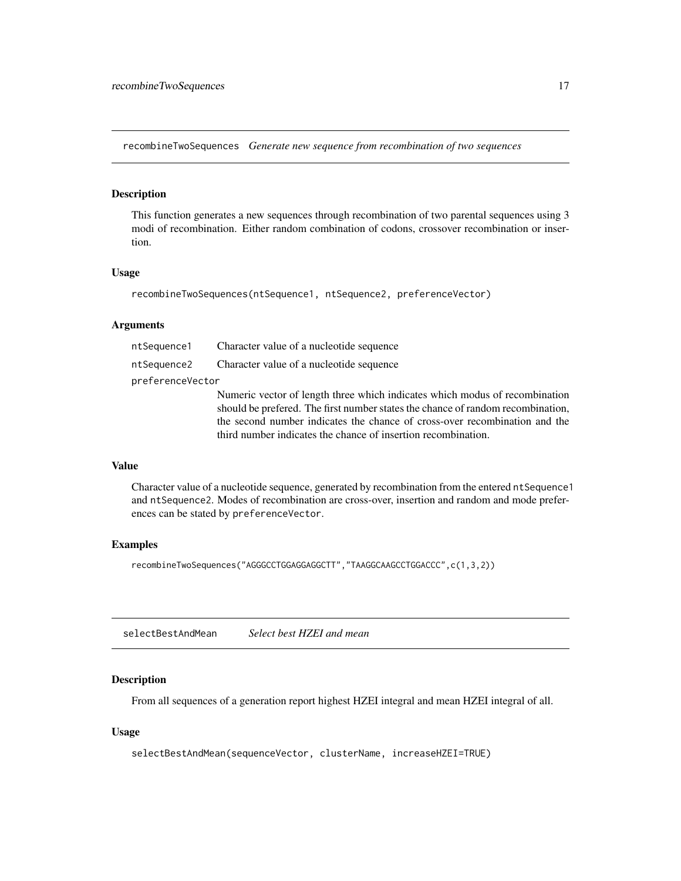<span id="page-16-0"></span>recombineTwoSequences *Generate new sequence from recombination of two sequences*

# Description

This function generates a new sequences through recombination of two parental sequences using 3 modi of recombination. Either random combination of codons, crossover recombination or insertion.

#### Usage

```
recombineTwoSequences(ntSequence1, ntSequence2, preferenceVector)
```
# Arguments

ntSequence1 Character value of a nucleotide sequence ntSequence2 Character value of a nucleotide sequence preferenceVector

Numeric vector of length three which indicates which modus of recombination should be prefered. The first number states the chance of random recombination, the second number indicates the chance of cross-over recombination and the third number indicates the chance of insertion recombination.

# Value

Character value of a nucleotide sequence, generated by recombination from the entered ntSequence1 and ntSequence2. Modes of recombination are cross-over, insertion and random and mode preferences can be stated by preferenceVector.

# Examples

```
recombineTwoSequences("AGGGCCTGGAGGAGGCTT","TAAGGCAAGCCTGGACCC",c(1,3,2))
```
selectBestAndMean *Select best HZEI and mean*

# Description

From all sequences of a generation report highest HZEI integral and mean HZEI integral of all.

# Usage

```
selectBestAndMean(sequenceVector, clusterName, increaseHZEI=TRUE)
```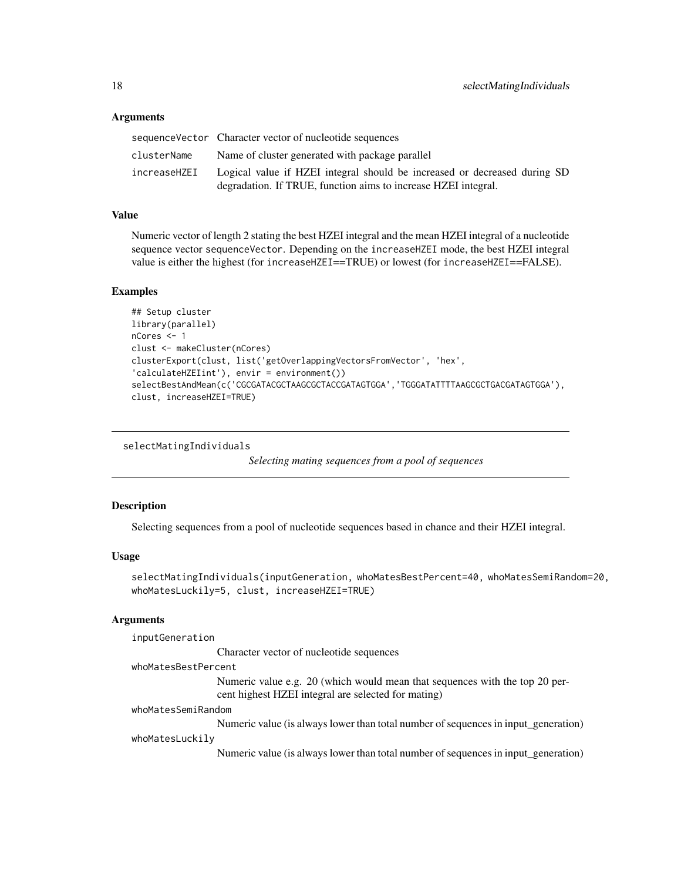# <span id="page-17-0"></span>**Arguments**

|             | sequenceVector Character vector of nucleotide sequences                                |
|-------------|----------------------------------------------------------------------------------------|
| clusterName | Name of cluster generated with package parallel                                        |
|             | increaseHZEI Logical value if HZEI integral should be increased or decreased during SD |
|             | degradation. If TRUE, function aims to increase HZEI integral.                         |

# Value

Numeric vector of length 2 stating the best HZEI integral and the mean HZEI integral of a nucleotide sequence vector sequenceVector. Depending on the increaseHZEI mode, the best HZEI integral value is either the highest (for increaseHZEI==TRUE) or lowest (for increaseHZEI==FALSE).

#### Examples

```
## Setup cluster
library(parallel)
nCores <- 1
clust <- makeCluster(nCores)
clusterExport(clust, list('getOverlappingVectorsFromVector', 'hex',
'calculateHZEIint'), envir = environment())
selectBestAndMean(c('CGCGATACGCTAAGCGCTACCGATAGTGGA','TGGGATATTTTAAGCGCTGACGATAGTGGA'),
clust, increaseHZEI=TRUE)
```

```
selectMatingIndividuals
```
*Selecting mating sequences from a pool of sequences*

#### Description

Selecting sequences from a pool of nucleotide sequences based in chance and their HZEI integral.

#### Usage

```
selectMatingIndividuals(inputGeneration, whoMatesBestPercent=40, whoMatesSemiRandom=20,
whoMatesLuckily=5, clust, increaseHZEI=TRUE)
```
### Arguments

inputGeneration

Character vector of nucleotide sequences

```
whoMatesBestPercent
```
Numeric value e.g. 20 (which would mean that sequences with the top 20 percent highest HZEI integral are selected for mating)

#### whoMatesSemiRandom

Numeric value (is always lower than total number of sequences in input\_generation)

#### whoMatesLuckily

Numeric value (is always lower than total number of sequences in input\_generation)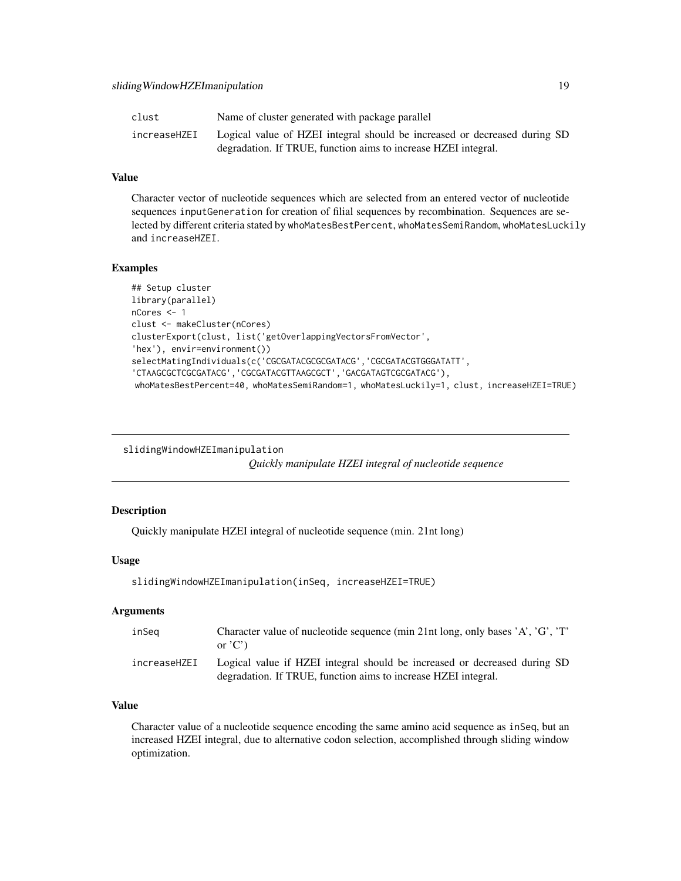<span id="page-18-0"></span>

| clust        | Name of cluster generated with package parallel                           |
|--------------|---------------------------------------------------------------------------|
| increaseHZEI | Logical value of HZEI integral should be increased or decreased during SD |
|              | degradation. If TRUE, function aims to increase HZEI integral.            |

# Value

Character vector of nucleotide sequences which are selected from an entered vector of nucleotide sequences inputGeneration for creation of filial sequences by recombination. Sequences are selected by different criteria stated by whoMatesBestPercent, whoMatesSemiRandom, whoMatesLuckily and increaseHZEI.

#### Examples

```
## Setup cluster
library(parallel)
nCores <- 1
clust <- makeCluster(nCores)
clusterExport(clust, list('getOverlappingVectorsFromVector',
'hex'), envir=environment())
selectMatingIndividuals(c('CGCGATACGCGCGATACG','CGCGATACGTGGGATATT',
'CTAAGCGCTCGCGATACG','CGCGATACGTTAAGCGCT','GACGATAGTCGCGATACG'),
whoMatesBestPercent=40, whoMatesSemiRandom=1, whoMatesLuckily=1, clust, increaseHZEI=TRUE)
```
slidingWindowHZEImanipulation

*Quickly manipulate HZEI integral of nucleotide sequence*

## **Description**

Quickly manipulate HZEI integral of nucleotide sequence (min. 21nt long)

#### Usage

```
slidingWindowHZEImanipulation(inSeq, increaseHZEI=TRUE)
```
# Arguments

| inSeq        | Character value of nucleotide sequence (min 21nt long, only bases 'A', 'G', 'T'<br>or $^{\prime}$ C $^{\prime}$ )                           |
|--------------|---------------------------------------------------------------------------------------------------------------------------------------------|
| increaseHZEI | Logical value if HZEI integral should be increased or decreased during SD<br>degradation. If TRUE, function aims to increase HZEI integral. |

# Value

Character value of a nucleotide sequence encoding the same amino acid sequence as inSeq, but an increased HZEI integral, due to alternative codon selection, accomplished through sliding window optimization.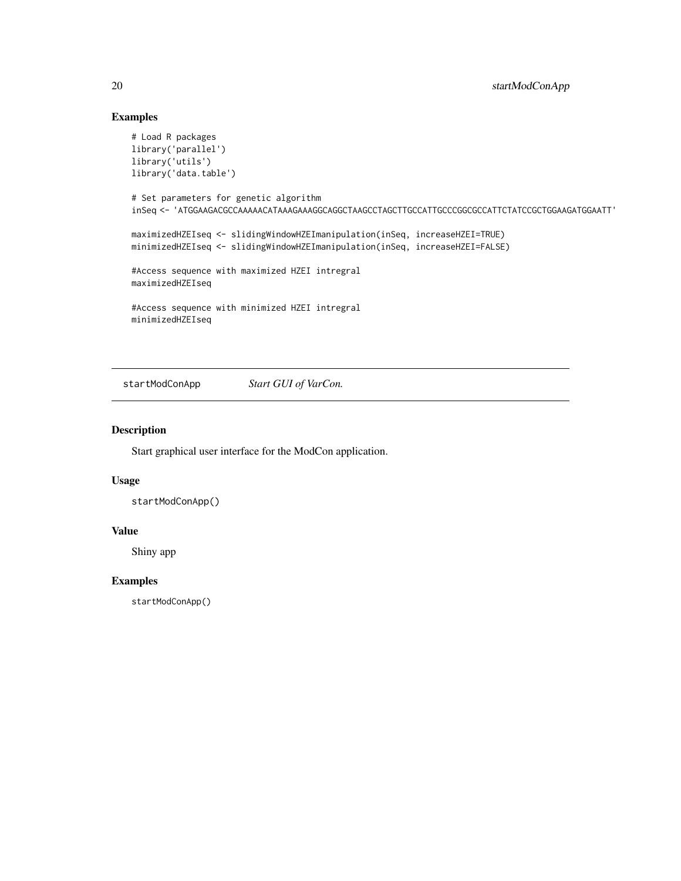# Examples

```
# Load R packages
library('parallel')
library('utils')
library('data.table')
# Set parameters for genetic algorithm
inSeq <- 'ATGGAAGACGCCAAAAACATAAAGAAAGGCAGGCTAAGCCTAGCTTGCCATTGCCCGGCGCCATTCTATCCGCTGGAAGATGGAATT'
maximizedHZEIseq <- slidingWindowHZEImanipulation(inSeq, increaseHZEI=TRUE)
minimizedHZEIseq <- slidingWindowHZEImanipulation(inSeq, increaseHZEI=FALSE)
#Access sequence with maximized HZEI intregral
maximizedHZEIseq
#Access sequence with minimized HZEI intregral
minimizedHZEIseq
```
startModConApp *Start GUI of VarCon.*

# Description

Start graphical user interface for the ModCon application.

# Usage

```
startModConApp()
```
#### Value

Shiny app

# Examples

startModConApp()

<span id="page-19-0"></span>